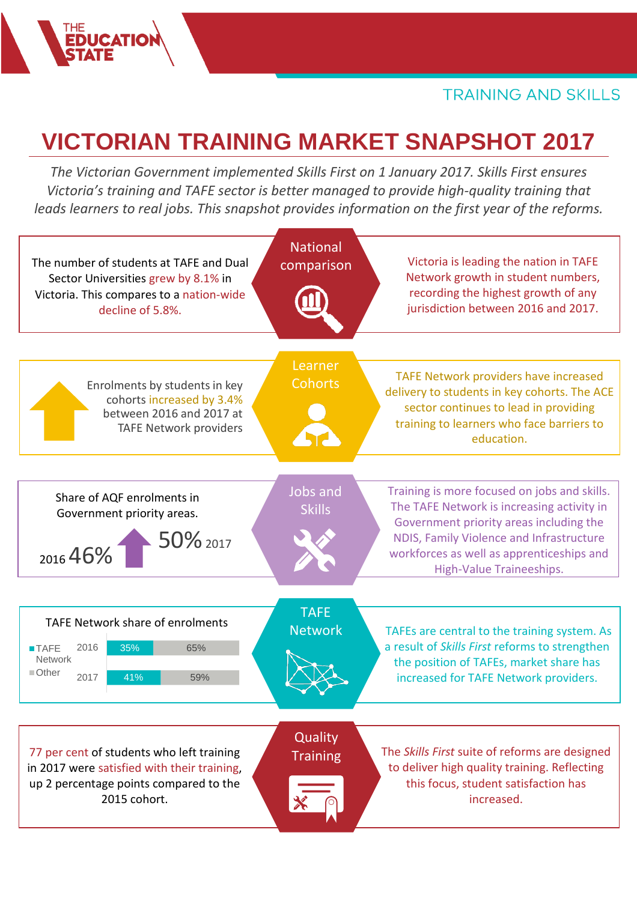# **VICTORIAN TRAINING MARKET SNAPSHOT 2017**

*The Victorian Government implemented Skills First on 1 January 2017. Skills First ensures Victoria's training and TAFE sector is better managed to provide high-quality training that leads learners to real jobs. This snapshot provides information on the first year of the reforms.*

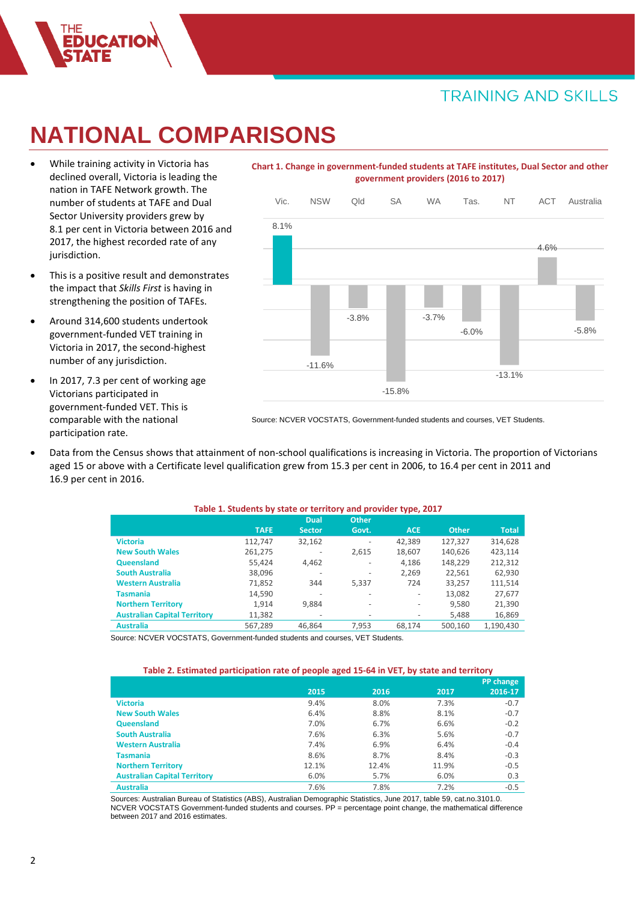## **NATIONAL COMPARISONS**

- While training activity in Victoria has declined overall, Victoria is leading the nation in TAFE Network growth. The number of students at TAFE and Dual Sector University providers grew by 8.1 per cent in Victoria between 2016 and 2017, the highest recorded rate of any jurisdiction.
- This is a positive result and demonstrates the impact that *Skills First* is having in strengthening the position of TAFEs.
- Around 314,600 students undertook government-funded VET training in Victoria in 2017, the second-highest number of any jurisdiction.
- In 2017, 7.3 per cent of working age Victorians participated in government-funded VET. This is comparable with the national participation rate.

### **Chart 1. Change in government-funded students at TAFE institutes, Dual Sector and other government providers (2016 to 2017)**



Source: NCVER VOCSTATS, Government-funded students and courses, VET Students.

• Data from the Census shows that attainment of non-school qualifications is increasing in Victoria. The proportion of Victorians aged 15 or above with a Certificate level qualification grew from 15.3 per cent in 2006, to 16.4 per cent in 2011 and 16.9 per cent in 2016.

| Table 1. Students by state or territory and provider type, 2017 |             |                          |                          |                          |              |              |  |  |
|-----------------------------------------------------------------|-------------|--------------------------|--------------------------|--------------------------|--------------|--------------|--|--|
|                                                                 |             | <b>Dual</b>              | <b>Other</b>             |                          |              |              |  |  |
|                                                                 | <b>TAFE</b> | <b>Sector</b>            | Govt.                    | <b>ACE</b>               | <b>Other</b> | <b>Total</b> |  |  |
| <b>Victoria</b>                                                 | 112,747     | 32,162                   | $\overline{\phantom{0}}$ | 42,389                   | 127,327      | 314,628      |  |  |
| <b>New South Wales</b>                                          | 261,275     |                          | 2,615                    | 18,607                   | 140,626      | 423.114      |  |  |
| Queensland                                                      | 55.424      | 4,462                    | $\overline{\phantom{a}}$ | 4,186                    | 148,229      | 212,312      |  |  |
| <b>South Australia</b>                                          | 38,096      | $\overline{\phantom{a}}$ | $\overline{\phantom{a}}$ | 2,269                    | 22,561       | 62,930       |  |  |
| <b>Western Australia</b>                                        | 71,852      | 344                      | 5,337                    | 724                      | 33,257       | 111,514      |  |  |
| <b>Tasmania</b>                                                 | 14,590      |                          | $\overline{\phantom{a}}$ | $\overline{\phantom{a}}$ | 13,082       | 27,677       |  |  |
| <b>Northern Territory</b>                                       | 1.914       | 9,884                    | $\overline{\phantom{a}}$ | $\overline{\phantom{a}}$ | 9,580        | 21,390       |  |  |
| <b>Australian Capital Territory</b>                             | 11,382      | $\overline{\phantom{a}}$ | $\overline{\phantom{a}}$ | $\overline{\phantom{a}}$ | 5,488        | 16,869       |  |  |
| <b>Australia</b>                                                | 567,289     | 46.864                   | 7,953                    | 68.174                   | 500,160      | 1,190,430    |  |  |

Source: NCVER VOCSTATS, Government-funded students and courses, VET Students.

#### **Table 2. Estimated participation rate of people aged 15-64 in VET, by state and territory**

|                                     |       |       |       | PP change |
|-------------------------------------|-------|-------|-------|-----------|
|                                     | 2015  | 2016  | 2017  | 2016-17   |
| <b>Victoria</b>                     | 9.4%  | 8.0%  | 7.3%  | $-0.7$    |
| <b>New South Wales</b>              | 6.4%  | 8.8%  | 8.1%  | $-0.7$    |
| Queensland                          | 7.0%  | 6.7%  | 6.6%  | $-0.2$    |
| <b>South Australia</b>              | 7.6%  | 6.3%  | 5.6%  | $-0.7$    |
| <b>Western Australia</b>            | 7.4%  | 6.9%  | 6.4%  | $-0.4$    |
| <b>Tasmania</b>                     | 8.6%  | 8.7%  | 8.4%  | $-0.3$    |
| <b>Northern Territory</b>           | 12.1% | 12.4% | 11.9% | $-0.5$    |
| <b>Australian Capital Territory</b> | 6.0%  | 5.7%  | 6.0%  | 0.3       |
| <b>Australia</b>                    | 7.6%  | 7.8%  | 7.2%  | $-0.5$    |

Sources: Australian Bureau of Statistics (ABS), Australian Demographic Statistics, June 2017, table 59, cat.no.3101.0. NCVER VOCSTATS Government-funded students and courses. PP = percentage point change, the mathematical difference between 2017 and 2016 estimates.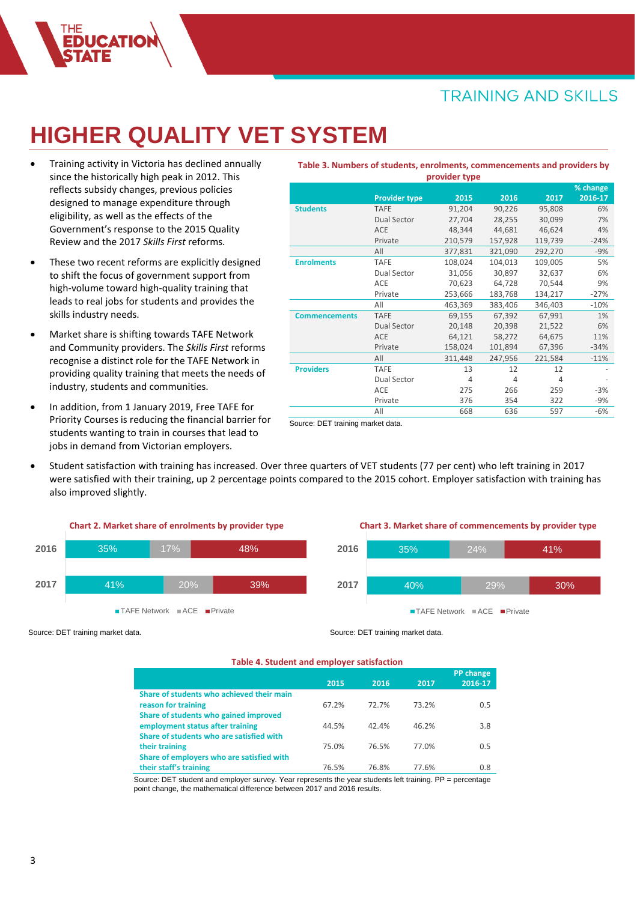## **HIGHER QUALITY VET SYSTEM**

- Training activity in Victoria has declined annually since the historically high peak in 2012. This reflects subsidy changes, previous policies designed to manage expenditure through eligibility, as well as the effects of the Government's response to the 2015 Quality Review and the 2017 *Skills First* reforms.
- These two recent reforms are explicitly designed to shift the focus of government support from high-volume toward high-quality training that leads to real jobs for students and provides the skills industry needs.
- Market share is shifting towards TAFE Network and Community providers. The *Skills First* reforms recognise a distinct role for the TAFE Network in providing quality training that meets the needs of industry, students and communities.
- In addition, from 1 January 2019, Free TAFE for Priority Courses is reducing the financial barrier for students wanting to train in courses that lead to jobs in demand from Victorian employers.

| provider type        |                      |         |                |         |          |  |  |  |
|----------------------|----------------------|---------|----------------|---------|----------|--|--|--|
|                      |                      |         |                |         | % change |  |  |  |
|                      | <b>Provider type</b> | 2015    | 2016           | 2017    | 2016-17  |  |  |  |
| <b>Students</b>      | <b>TAFE</b>          | 91,204  | 90,226         | 95,808  | 6%       |  |  |  |
|                      | Dual Sector          | 27,704  | 28,255         | 30,099  | 7%       |  |  |  |
|                      | <b>ACE</b>           | 48,344  | 44,681         | 46,624  | 4%       |  |  |  |
|                      | Private              | 210,579 | 157,928        | 119,739 | $-24%$   |  |  |  |
|                      | All                  | 377,831 | 321,090        | 292,270 | $-9%$    |  |  |  |
| <b>Enrolments</b>    | <b>TAFE</b>          | 108,024 | 104,013        | 109,005 | 5%       |  |  |  |
|                      | Dual Sector          | 31,056  | 30,897         | 32,637  | 6%       |  |  |  |
|                      | ACE                  | 70,623  | 64,728         | 70,544  | 9%       |  |  |  |
|                      | Private              | 253,666 | 183,768        | 134,217 | $-27%$   |  |  |  |
|                      | All                  | 463,369 | 383,406        | 346,403 | $-10%$   |  |  |  |
| <b>Commencements</b> | <b>TAFE</b>          | 69,155  | 67,392         | 67,991  | 1%       |  |  |  |
|                      | Dual Sector          | 20,148  | 20,398         | 21,522  | 6%       |  |  |  |
|                      | <b>ACE</b>           | 64,121  | 58,272         | 64,675  | 11%      |  |  |  |
|                      | Private              | 158,024 | 101,894        | 67,396  | $-34%$   |  |  |  |
|                      | All                  | 311,448 | 247,956        | 221,584 | $-11%$   |  |  |  |
| <b>Providers</b>     | <b>TAFE</b>          | 13      | 12             | 12      |          |  |  |  |
|                      | Dual Sector          | 4       | $\overline{4}$ | 4       |          |  |  |  |
|                      | ACE                  | 275     | 266            | 259     | $-3%$    |  |  |  |
|                      | Private              | 376     | 354            | 322     | -9%      |  |  |  |
|                      | All                  | 668     | 636            | 597     | $-6%$    |  |  |  |

**Table 3. Numbers of students, enrolments, commencements and providers by** 

Source: DET training market data.

• Student satisfaction with training has increased. Over three quarters of VET students (77 per cent) who left training in 2017 were satisfied with their training, up 2 percentage points compared to the 2015 cohort. Employer satisfaction with training has also improved slightly.



#### **Chart 3. Market share of commencements by provider type**



Source: DET training market data.

#### **Table 4. Student and employer satisfaction**

Source: DET training market data.

|                                           | 2015  | 2016  | 2017  | PP change<br>2016-17 |
|-------------------------------------------|-------|-------|-------|----------------------|
| Share of students who achieved their main |       |       |       |                      |
| reason for training                       | 67.2% | 72.7% | 73.2% | 0.5                  |
| Share of students who gained improved     |       |       |       |                      |
| employment status after training          | 44.5% | 42.4% | 46.2% | 3.8                  |
| Share of students who are satisfied with  |       |       |       |                      |
| their training                            | 75.0% | 76.5% | 77.0% | 0.5                  |
| Share of employers who are satisfied with |       |       |       |                      |
| their staff's training                    | 76.5% | 76.8% | 77.6% | 0.8                  |

Source: DET student and employer survey. Year represents the year students left training. PP = percentage point change, the mathematical difference between 2017 and 2016 results.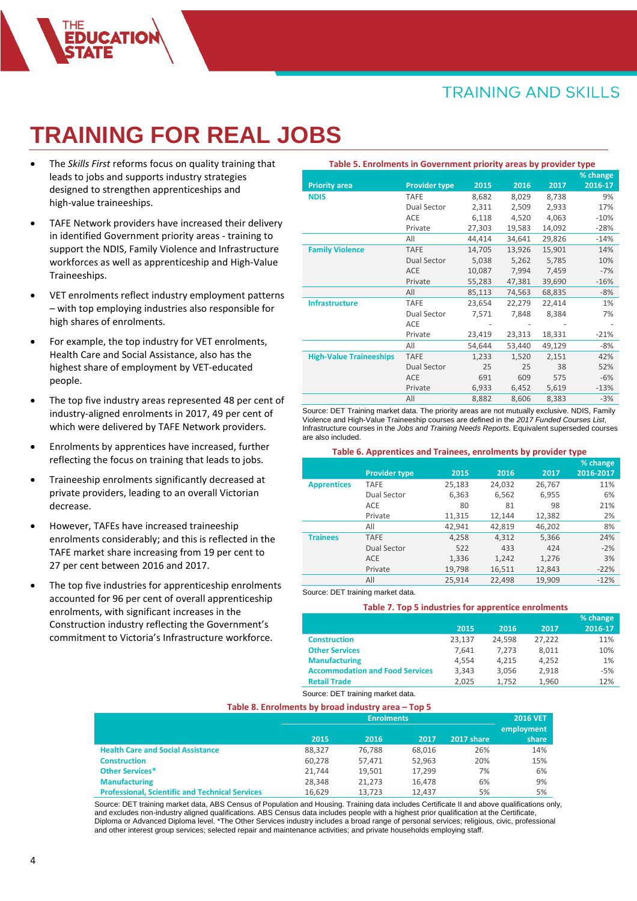# **TRAINING FOR REAL JOBS**

- The *Skills First* reforms focus on quality training that leads to jobs and supports industry strategies designed to strengthen apprenticeships and high-value traineeships.
- TAFE Network providers have increased their delivery in identified Government priority areas - training to support the NDIS, Family Violence and Infrastructure workforces as well as apprenticeship and High-Value Traineeships.
- VET enrolments reflect industry employment patterns – with top employing industries also responsible for high shares of enrolments.
- For example, the top industry for VET enrolments, Health Care and Social Assistance, also has the highest share of employment by VET-educated people.
- The top five industry areas represented 48 per cent of industry-aligned enrolments in 2017, 49 per cent of which were delivered by TAFE Network providers.
- Enrolments by apprentices have increased, further reflecting the focus on training that leads to jobs.
- Traineeship enrolments significantly decreased at private providers, leading to an overall Victorian decrease.
- However, TAFEs have increased traineeship enrolments considerably; and this is reflected in the TAFE market share increasing from 19 per cent to 27 per cent between 2016 and 2017.
- The top five industries for apprenticeship enrolments accounted for 96 per cent of overall apprenticeship enrolments, with significant increases in the Construction industry reflecting the Government's commitment to Victoria's Infrastructure workforce.

| Table 5. Enrolments in Government priority areas by provider type |                      |                          |        |        |             |
|-------------------------------------------------------------------|----------------------|--------------------------|--------|--------|-------------|
|                                                                   |                      |                          |        |        | % change    |
| <b>Priority area</b>                                              | <b>Provider type</b> | 2015                     | 2016   | 2017   | $2016 - 17$ |
| <b>NDIS</b>                                                       | <b>TAFE</b>          | 8,682                    | 8,029  | 8,738  | 9%          |
|                                                                   | Dual Sector          | 2,311                    | 2,509  | 2,933  | 17%         |
|                                                                   | <b>ACE</b>           | 6,118                    | 4,520  | 4,063  | $-10%$      |
|                                                                   | Private              | 27,303                   | 19,583 | 14,092 | $-28%$      |
|                                                                   | All                  | 44,414                   | 34,641 | 29,826 | $-14%$      |
| <b>Family Violence</b>                                            | <b>TAFE</b>          | 14,705                   | 13,926 | 15,901 | 14%         |
|                                                                   | <b>Dual Sector</b>   | 5,038                    | 5,262  | 5,785  | 10%         |
|                                                                   | ACE                  | 10,087                   | 7,994  | 7,459  | $-7%$       |
|                                                                   | Private              | 55,283                   | 47,381 | 39,690 | $-16%$      |
|                                                                   | All                  | 85,113                   | 74,563 | 68,835 | $-8%$       |
| <b>Infrastructure</b>                                             | <b>TAFE</b>          | 23,654                   | 22,279 | 22,414 | 1%          |
|                                                                   | Dual Sector          | 7,571                    | 7,848  | 8,384  | 7%          |
|                                                                   | <b>ACE</b>           | $\overline{\phantom{0}}$ |        |        |             |
|                                                                   | Private              | 23,419                   | 23,313 | 18,331 | $-21%$      |
|                                                                   | All                  | 54,644                   | 53,440 | 49,129 | $-8%$       |
| <b>High-Value Traineeships</b>                                    | <b>TAFE</b>          | 1,233                    | 1,520  | 2,151  | 42%         |
|                                                                   | <b>Dual Sector</b>   | 25                       | 25     | 38     | 52%         |
|                                                                   | <b>ACE</b>           | 691                      | 609    | 575    | $-6%$       |
|                                                                   | Private              | 6,933                    | 6,452  | 5,619  | $-13%$      |
|                                                                   | All                  | 8,882                    | 8,606  | 8,383  | $-3%$       |

Source: DET Training market data. The priority areas are not mutually exclusive. NDIS, Family Violence and High-Value Traineeship courses are defined in the *2017 Funded Courses List*, Infrastructure courses in the *Jobs and Training Needs Reports*. Equivalent superseded courses are also included.

| Table 6. Apprentices and Trainees, enrolments by provider type |                      |        |        |        |           |  |  |  |  |  |
|----------------------------------------------------------------|----------------------|--------|--------|--------|-----------|--|--|--|--|--|
|                                                                |                      |        |        |        | % change  |  |  |  |  |  |
|                                                                | <b>Provider type</b> | 2015   | 2016   | 2017   | 2016-2017 |  |  |  |  |  |
| <b>Apprentices</b>                                             | <b>TAFE</b>          | 25,183 | 24,032 | 26,767 | 11%       |  |  |  |  |  |
|                                                                | Dual Sector          | 6,363  | 6,562  | 6,955  | 6%        |  |  |  |  |  |
|                                                                | <b>ACE</b>           | 80     | 81     | 98     | 21%       |  |  |  |  |  |
|                                                                | Private              | 11,315 | 12,144 | 12,382 | 2%        |  |  |  |  |  |
|                                                                | All                  | 42,941 | 42,819 | 46,202 | 8%        |  |  |  |  |  |
| <b>Trainees</b>                                                | <b>TAFE</b>          | 4,258  | 4,312  | 5,366  | 24%       |  |  |  |  |  |
|                                                                | Dual Sector          | 522    | 433    | 424    | $-2%$     |  |  |  |  |  |
|                                                                | <b>ACE</b>           | 1,336  | 1,242  | 1,276  | 3%        |  |  |  |  |  |
|                                                                | Private              | 19,798 | 16,511 | 12,843 | $-22%$    |  |  |  |  |  |
|                                                                | All                  | 25,914 | 22.498 | 19.909 | $-12%$    |  |  |  |  |  |

Source: DET training market data.

#### **Table 7. Top 5 industries for apprentice enrolments**

|                                        |        |        |        | % change |
|----------------------------------------|--------|--------|--------|----------|
|                                        | 2015   | 2016   | 2017   | 2016-17  |
| <b>Construction</b>                    | 23,137 | 24,598 | 27,222 | 11%      |
| <b>Other Services</b>                  | 7.641  | 7.273  | 8.011  | 10%      |
| <b>Manufacturing</b>                   | 4.554  | 4.215  | 4.252  | 1%       |
| <b>Accommodation and Food Services</b> | 3,343  | 3,056  | 2,918  | $-5%$    |
| <b>Retail Trade</b>                    | 2.025  | 1.752  | 1.960  | 12%      |

Source: DET training market data.

#### **Table 8. Enrolments by broad industry area – Top 5**

|                                                        |        | <b>Enrolments</b> |        |            |            |  |  |  |  |
|--------------------------------------------------------|--------|-------------------|--------|------------|------------|--|--|--|--|
|                                                        |        |                   |        |            | employment |  |  |  |  |
|                                                        | 2015   | 2016              | 2017   | 2017 share | share      |  |  |  |  |
| <b>Health Care and Social Assistance</b>               | 88.327 | 76.788            | 68.016 | 26%        | 14%        |  |  |  |  |
| <b>Construction</b>                                    | 60.278 | 57.471            | 52.963 | 20%        | 15%        |  |  |  |  |
| <b>Other Services*</b>                                 | 21.744 | 19.501            | 17.299 | 7%         | 6%         |  |  |  |  |
| <b>Manufacturing</b>                                   | 28.348 | 21.273            | 16.478 | 6%         | 9%         |  |  |  |  |
| <b>Professional, Scientific and Technical Services</b> | 16.629 | 13.723            | 12.437 | 5%         | 5%         |  |  |  |  |

Source: DET training market data, ABS Census of Population and Housing. Training data includes Certificate II and above qualifications only, and excludes non-industry aligned qualifications. ABS Census data includes people with a highest prior qualification at the Certificate, Diploma or Advanced Diploma level. \*The Other Services industry includes a broad range of personal services; religious, civic, professional and other interest group services; selected repair and maintenance activities; and private households employing staff.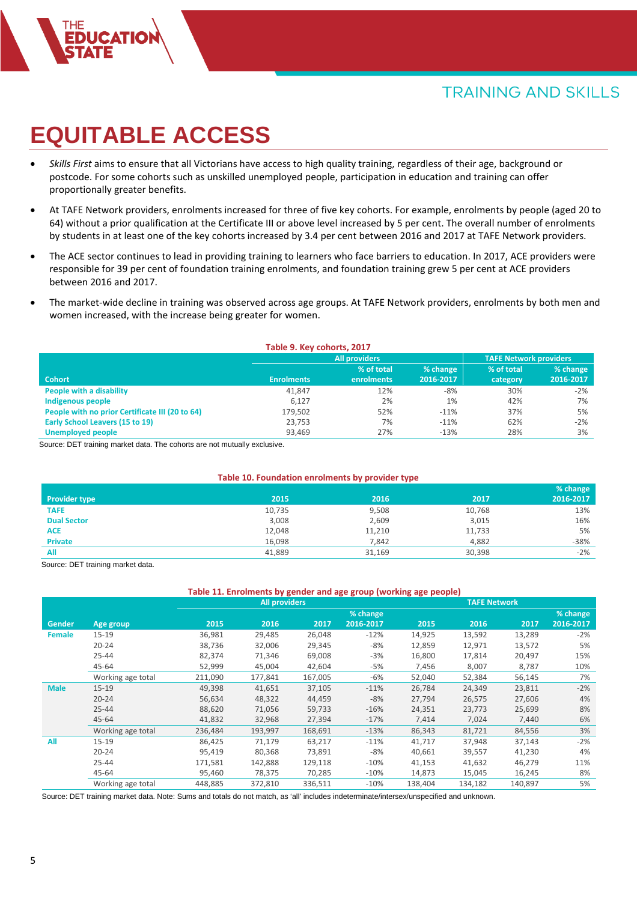# **EQUITABLE ACCESS**

- *Skills First* aims to ensure that all Victorians have access to high quality training, regardless of their age, background or postcode. For some cohorts such as unskilled unemployed people, participation in education and training can offer proportionally greater benefits.
- At TAFE Network providers, enrolments increased for three of five key cohorts. For example, enrolments by people (aged 20 to 64) without a prior qualification at the Certificate III or above level increased by 5 per cent. The overall number of enrolments by students in at least one of the key cohorts increased by 3.4 per cent between 2016 and 2017 at TAFE Network providers.
- The ACE sector continues to lead in providing training to learners who face barriers to education. In 2017, ACE providers were responsible for 39 per cent of foundation training enrolments, and foundation training grew 5 per cent at ACE providers between 2016 and 2017.
- The market-wide decline in training was observed across age groups. At TAFE Network providers, enrolments by both men and women increased, with the increase being greater for women.

| Table 9. Key cohorts, 2017                      |                   |                      |           |                               |           |  |  |  |  |
|-------------------------------------------------|-------------------|----------------------|-----------|-------------------------------|-----------|--|--|--|--|
|                                                 |                   | <b>All providers</b> |           | <b>TAFE Network providers</b> |           |  |  |  |  |
|                                                 |                   | % of total           | % change  | % of total                    | % change  |  |  |  |  |
| <b>Cohort</b>                                   | <b>Enrolments</b> | enrolments           | 2016-2017 | category                      | 2016-2017 |  |  |  |  |
| People with a disability                        | 41.847            | 12%                  | -8%       | 30%                           | $-2\%$    |  |  |  |  |
| Indigenous people                               | 6,127             | 2%                   | 1%        | 42%                           | 7%        |  |  |  |  |
| People with no prior Certificate III (20 to 64) | 179,502           | 52%                  | $-11%$    | 37%                           | 5%        |  |  |  |  |
| Early School Leavers (15 to 19)                 | 23,753            | 7%                   | $-11%$    | 62%                           | $-2\%$    |  |  |  |  |
| <b>Unemployed people</b>                        | 93,469            | 27%                  | $-13%$    | 28%                           | 3%        |  |  |  |  |

Source: DET training market data. The cohorts are not mutually exclusive.

### **Table 10. Foundation enrolments by provider type**

|                      |        |        |        | % change  |
|----------------------|--------|--------|--------|-----------|
| <b>Provider type</b> | 2015   | 2016   | 2017   | 2016-2017 |
| <b>TAFE</b>          | 10,735 | 9,508  | 10,768 | 13%       |
| <b>Dual Sector</b>   | 3,008  | 2,609  | 3,015  | 16%       |
| <b>ACE</b>           | 12,048 | 11,210 | 11,733 | 5%        |
| <b>Private</b>       | 16,098 | 7,842  | 4,882  | $-38%$    |
| All                  | 41,889 | 31,169 | 30,398 | $-2%$     |

Source: DET training market data.

#### **Table 11. Enrolments by gender and age group (working age people)**

|             |                   | <b>All providers</b> |         |         |           |         | <b>TAFE Network</b> |         |           |  |
|-------------|-------------------|----------------------|---------|---------|-----------|---------|---------------------|---------|-----------|--|
|             |                   |                      |         |         | % change  |         |                     |         | % change  |  |
| Gender      | Age group         | 2015                 | 2016    | 2017    | 2016-2017 | 2015    | 2016                | 2017    | 2016-2017 |  |
| Female      | $15 - 19$         | 36,981               | 29,485  | 26,048  | $-12%$    | 14,925  | 13,592              | 13,289  | $-2%$     |  |
|             | $20 - 24$         | 38,736               | 32,006  | 29,345  | -8%       | 12,859  | 12,971              | 13,572  | 5%        |  |
|             | $25 - 44$         | 82,374               | 71,346  | 69,008  | $-3%$     | 16,800  | 17,814              | 20,497  | 15%       |  |
|             | 45-64             | 52,999               | 45,004  | 42,604  | -5%       | 7,456   | 8,007               | 8,787   | 10%       |  |
|             | Working age total | 211,090              | 177,841 | 167,005 | -6%       | 52,040  | 52,384              | 56,145  | 7%        |  |
| <b>Male</b> | $15 - 19$         | 49,398               | 41,651  | 37,105  | $-11%$    | 26,784  | 24,349              | 23,811  | $-2%$     |  |
|             | $20 - 24$         | 56,634               | 48,322  | 44,459  | $-8%$     | 27,794  | 26,575              | 27,606  | 4%        |  |
|             | $25 - 44$         | 88,620               | 71,056  | 59,733  | $-16%$    | 24,351  | 23,773              | 25,699  | 8%        |  |
|             | 45-64             | 41,832               | 32,968  | 27,394  | $-17%$    | 7,414   | 7,024               | 7,440   | 6%        |  |
|             | Working age total | 236,484              | 193,997 | 168,691 | $-13%$    | 86,343  | 81,721              | 84,556  | 3%        |  |
| All         | $15 - 19$         | 86,425               | 71,179  | 63,217  | $-11%$    | 41,717  | 37,948              | 37,143  | $-2%$     |  |
|             | $20 - 24$         | 95,419               | 80,368  | 73,891  | -8%       | 40,661  | 39,557              | 41,230  | 4%        |  |
|             | $25 - 44$         | 171,581              | 142,888 | 129,118 | $-10%$    | 41,153  | 41,632              | 46,279  | 11%       |  |
|             | $45 - 64$         | 95,460               | 78,375  | 70,285  | $-10%$    | 14,873  | 15,045              | 16,245  | 8%        |  |
|             | Working age total | 448,885              | 372,810 | 336,511 | $-10%$    | 138,404 | 134,182             | 140,897 | 5%        |  |

Source: DET training market data. Note: Sums and totals do not match, as 'all' includes indeterminate/intersex/unspecified and unknown.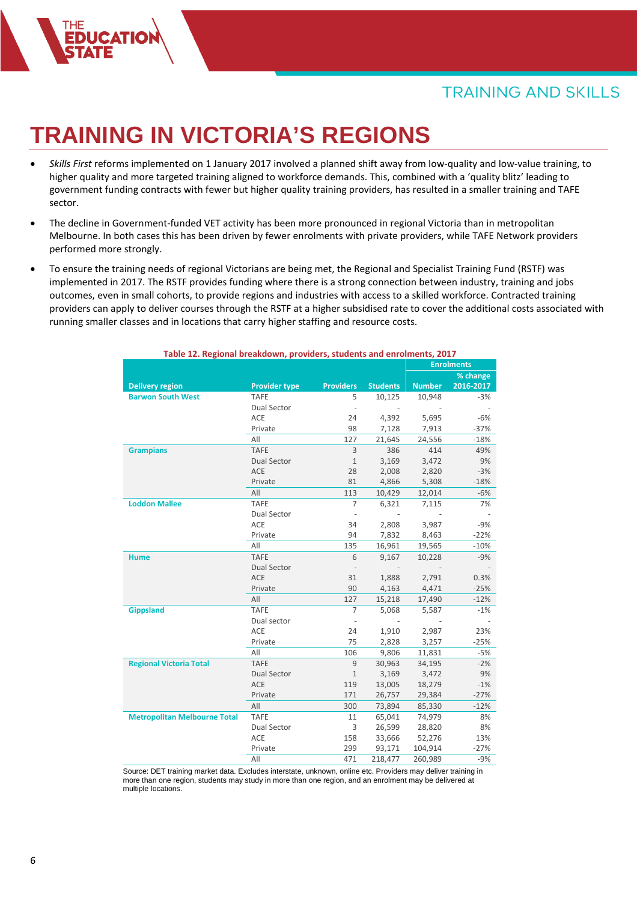# **TRAINING IN VICTORIA'S REGIONS**

- *Skills First* reforms implemented on 1 January 2017 involved a planned shift away from low-quality and low-value training, to higher quality and more targeted training aligned to workforce demands. This, combined with a 'quality blitz' leading to government funding contracts with fewer but higher quality training providers, has resulted in a smaller training and TAFE sector.
- The decline in Government-funded VET activity has been more pronounced in regional Victoria than in metropolitan Melbourne. In both cases this has been driven by fewer enrolments with private providers, while TAFE Network providers performed more strongly.
- To ensure the training needs of regional Victorians are being met, the Regional and Specialist Training Fund (RSTF) was implemented in 2017. The RSTF provides funding where there is a strong connection between industry, training and jobs outcomes, even in small cohorts, to provide regions and industries with access to a skilled workforce. Contracted training providers can apply to deliver courses through the RSTF at a higher subsidised rate to cover the additional costs associated with running smaller classes and in locations that carry higher staffing and resource costs.

| Table 12. Regional preakdown, providers, students and enrolments, 2017 |                      |                  |                 |               |                   |
|------------------------------------------------------------------------|----------------------|------------------|-----------------|---------------|-------------------|
|                                                                        |                      |                  |                 |               | <b>Enrolments</b> |
|                                                                        |                      |                  |                 |               | % change          |
| <b>Delivery region</b>                                                 | <b>Provider type</b> | <b>Providers</b> | <b>Students</b> | <b>Number</b> | 2016-2017         |
| <b>Barwon South West</b>                                               | <b>TAFE</b>          | 5                | 10,125          | 10,948        | $-3%$             |
|                                                                        | Dual Sector          |                  |                 |               |                   |
|                                                                        | <b>ACE</b>           | 24               | 4,392           | 5,695         | $-6%$             |
|                                                                        | Private              | 98               | 7,128           | 7,913         | $-37%$            |
|                                                                        | All                  | 127              | 21,645          | 24,556        | $-18%$            |
| <b>Grampians</b>                                                       | <b>TAFE</b>          | 3                | 386             | 414           | 49%               |
|                                                                        | <b>Dual Sector</b>   | $1\,$            | 3,169           | 3,472         | 9%                |
|                                                                        | <b>ACE</b>           | 28               | 2,008           | 2,820         | $-3%$             |
|                                                                        | Private              | 81               | 4,866           | 5,308         | $-18%$            |
|                                                                        | All                  | 113              | 10,429          | 12,014        | $-6%$             |
| <b>Loddon Mallee</b>                                                   | <b>TAFE</b>          | $\overline{7}$   | 6,321           | 7,115         | 7%                |
|                                                                        | Dual Sector          |                  |                 |               |                   |
|                                                                        | ACE                  | 34               | 2,808           | 3,987         | $-9%$             |
|                                                                        | Private              | 94               | 7,832           | 8,463         | $-22%$            |
|                                                                        | All                  | 135              | 16,961          | 19,565        | $-10%$            |
| <b>Hume</b>                                                            | <b>TAFE</b>          | 6                | 9,167           | 10,228        | $-9%$             |
|                                                                        | <b>Dual Sector</b>   |                  |                 |               |                   |
|                                                                        | <b>ACE</b>           | 31               | 1,888           | 2,791         | 0.3%              |
|                                                                        | Private              | 90               | 4,163           | 4,471         | $-25%$            |
|                                                                        | All                  | 127              | 15,218          | 17,490        | $-12%$            |
| <b>Gippsland</b>                                                       | <b>TAFE</b>          | $\overline{7}$   | 5,068           | 5,587         | $-1%$             |
|                                                                        | Dual sector          |                  |                 |               |                   |
|                                                                        | ACE                  | 24               | 1,910           | 2,987         | 23%               |
|                                                                        | Private              | 75               | 2,828           | 3,257         | $-25%$            |
|                                                                        | All                  | 106              | 9,806           | 11,831        | $-5%$             |
| <b>Regional Victoria Total</b>                                         | <b>TAFE</b>          | $\overline{9}$   | 30,963          | 34,195        | $-2%$             |
|                                                                        | <b>Dual Sector</b>   | $1\,$            | 3,169           | 3,472         | 9%                |
|                                                                        | <b>ACE</b>           | 119              | 13,005          | 18,279        | $-1%$             |
|                                                                        | Private              | 171              | 26,757          | 29,384        | $-27%$            |
|                                                                        | All                  | 300              | 73,894          | 85,330        | $-12%$            |
| <b>Metropolitan Melbourne Total</b>                                    | <b>TAFE</b>          | 11               | 65,041          | 74,979        | 8%                |
|                                                                        | <b>Dual Sector</b>   | 3                | 26,599          | 28,820        | 8%                |
|                                                                        | <b>ACE</b>           | 158              | 33,666          | 52,276        | 13%               |
|                                                                        | Private              | 299              | 93,171          | 104,914       | $-27%$            |
|                                                                        | All                  | 471              | 218,477         | 260,989       | $-9%$             |

### **Table 12. Regional breakdown, providers, students and enrolments, 2017**

Source: DET training market data. Excludes interstate, unknown, online etc. Providers may deliver training in more than one region, students may study in more than one region, and an enrolment may be delivered at multiple locations.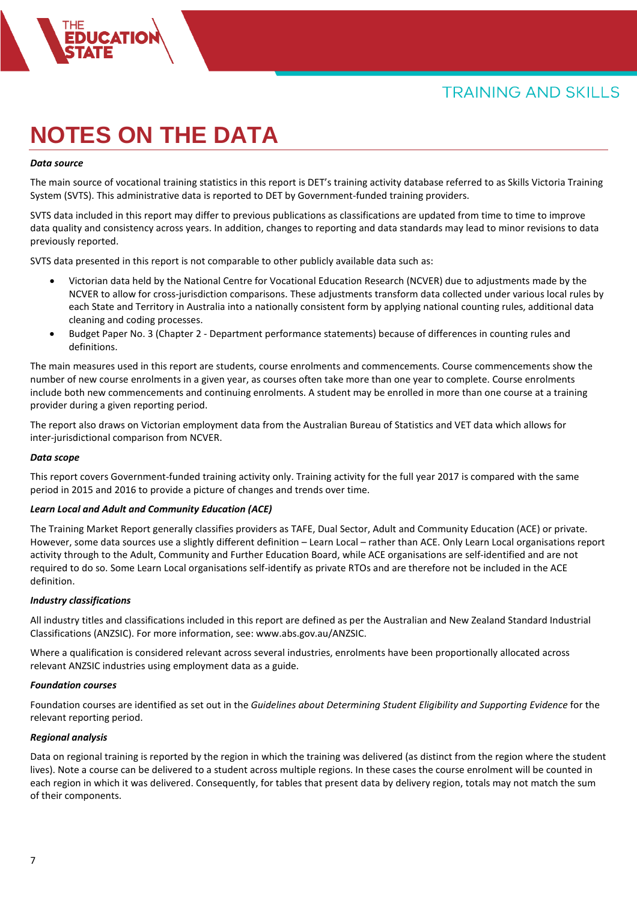# **NOTES ON THE DATA**

### *Data source*

The main source of vocational training statistics in this report is DET's training activity database referred to as Skills Victoria Training System (SVTS). This administrative data is reported to DET by Government-funded training providers.

SVTS data included in this report may differ to previous publications as classifications are updated from time to time to improve data quality and consistency across years. In addition, changes to reporting and data standards may lead to minor revisions to data previously reported.

SVTS data presented in this report is not comparable to other publicly available data such as:

- Victorian data held by the National Centre for Vocational Education Research (NCVER) due to adjustments made by the NCVER to allow for cross-jurisdiction comparisons. These adjustments transform data collected under various local rules by each State and Territory in Australia into a nationally consistent form by applying national counting rules, additional data cleaning and coding processes.
- Budget Paper No. 3 (Chapter 2 Department performance statements) because of differences in counting rules and definitions.

The main measures used in this report are students, course enrolments and commencements. Course commencements show the number of new course enrolments in a given year, as courses often take more than one year to complete. Course enrolments include both new commencements and continuing enrolments. A student may be enrolled in more than one course at a training provider during a given reporting period.

The report also draws on Victorian employment data from the Australian Bureau of Statistics and VET data which allows for inter-jurisdictional comparison from NCVER.

#### *Data scope*

This report covers Government-funded training activity only. Training activity for the full year 2017 is compared with the same period in 2015 and 2016 to provide a picture of changes and trends over time.

### *Learn Local and Adult and Community Education (ACE)*

The Training Market Report generally classifies providers as TAFE, Dual Sector, Adult and Community Education (ACE) or private. However, some data sources use a slightly different definition – Learn Local – rather than ACE. Only Learn Local organisations report activity through to the Adult, Community and Further Education Board, while ACE organisations are self-identified and are not required to do so. Some Learn Local organisations self-identify as private RTOs and are therefore not be included in the ACE definition.

#### *Industry classifications*

All industry titles and classifications included in this report are defined as per the Australian and New Zealand Standard Industrial Classifications (ANZSIC). For more information, see: www.abs.gov.au/ANZSIC.

Where a qualification is considered relevant across several industries, enrolments have been proportionally allocated across relevant ANZSIC industries using employment data as a guide.

#### *Foundation courses*

Foundation courses are identified as set out in the *Guidelines about Determining Student Eligibility and Supporting Evidence* for the relevant reporting period.

#### *Regional analysis*

Data on regional training is reported by the region in which the training was delivered (as distinct from the region where the student lives). Note a course can be delivered to a student across multiple regions. In these cases the course enrolment will be counted in each region in which it was delivered. Consequently, for tables that present data by delivery region, totals may not match the sum of their components.